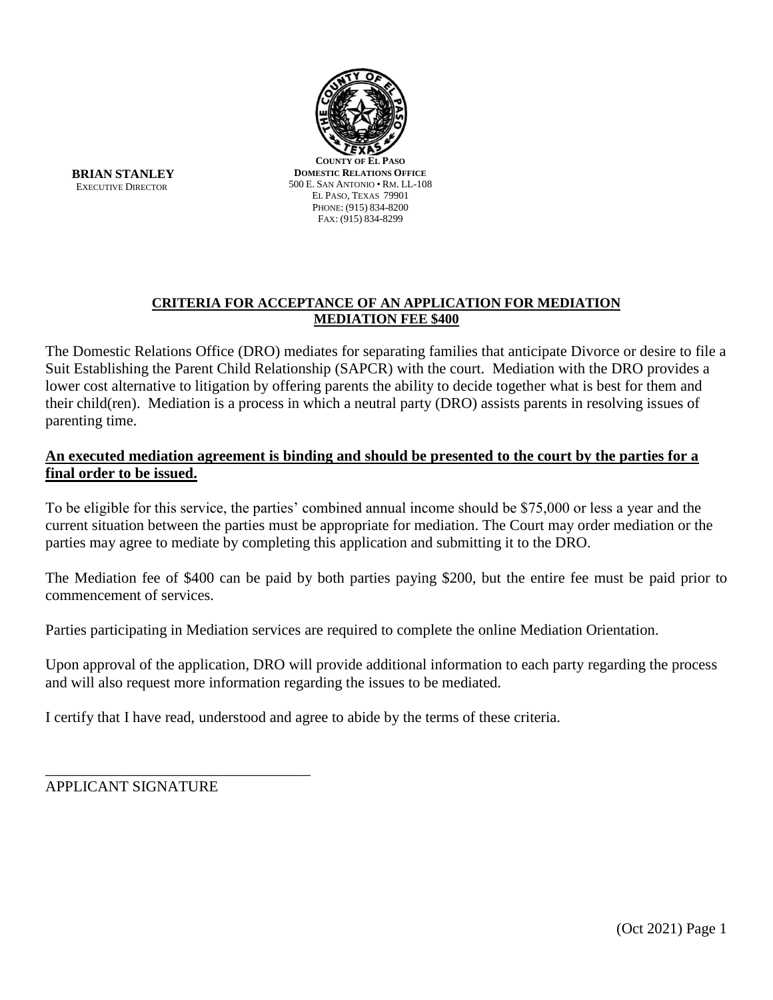

**BRIAN STANLEY** EXECUTIVE DIRECTOR

**COUNTY OF EL PASO DOMESTIC RELATIONS OFFICE** 500 E. SAN ANTONIO • RM. LL-108 EL PASO, TEXAS 79901 PHONE: (915) 834-8200 FAX: (915) 834-8299

# **CRITERIA FOR ACCEPTANCE OF AN APPLICATION FOR MEDIATION MEDIATION FEE \$400**

The Domestic Relations Office (DRO) mediates for separating families that anticipate Divorce or desire to file a Suit Establishing the Parent Child Relationship (SAPCR) with the court. Mediation with the DRO provides a lower cost alternative to litigation by offering parents the ability to decide together what is best for them and their child(ren). Mediation is a process in which a neutral party (DRO) assists parents in resolving issues of parenting time.

# **An executed mediation agreement is binding and should be presented to the court by the parties for a final order to be issued.**

To be eligible for this service, the parties' combined annual income should be \$75,000 or less a year and the current situation between the parties must be appropriate for mediation. The Court may order mediation or the parties may agree to mediate by completing this application and submitting it to the DRO.

The Mediation fee of \$400 can be paid by both parties paying \$200, but the entire fee must be paid prior to commencement of services.

Parties participating in Mediation services are required to complete the online Mediation Orientation.

Upon approval of the application, DRO will provide additional information to each party regarding the process and will also request more information regarding the issues to be mediated.

I certify that I have read, understood and agree to abide by the terms of these criteria.

APPLICANT SIGNATURE

\_\_\_\_\_\_\_\_\_\_\_\_\_\_\_\_\_\_\_\_\_\_\_\_\_\_\_\_\_\_\_\_\_\_\_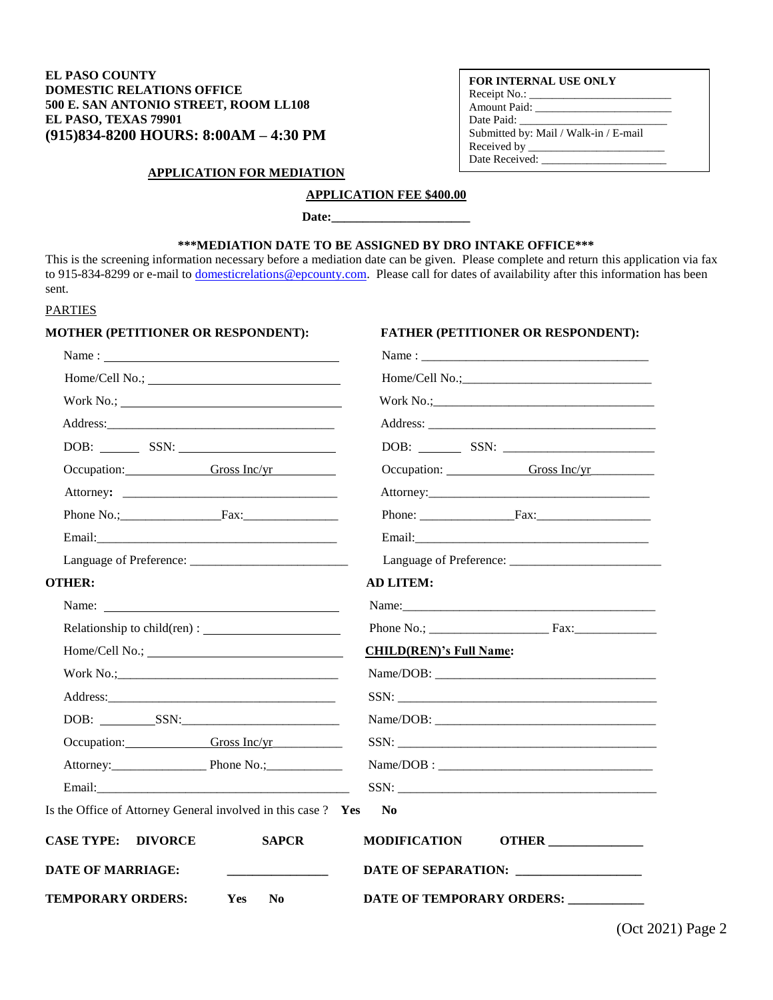### **EL PASO COUNTY DOMESTIC RELATIONS OFFICE 500 E. SAN ANTONIO STREET, ROOM LL108 EL PASO, TEXAS 79901 (915)834-8200 HOURS: 8:00AM – 4:30 PM**

### **FOR INTERNAL USE ONLY**

| Receipt No.:                          |
|---------------------------------------|
| Amount Paid:                          |
| Date Paid:                            |
| Submitted by: Mail / Walk-in / E-mail |
| Received by _______                   |
| Date Received:                        |

### **APPLICATION FOR MEDIATION**

# **APPLICATION FEE \$400.00**

Date:

## **\*\*\*MEDIATION DATE TO BE ASSIGNED BY DRO INTAKE OFFICE\*\*\***

This is the screening information necessary before a mediation date can be given. Please complete and return this application via fax to 915-834-8299 or e-mail to [domesticrelations@epcounty.com.](mailto:domesticrelations@epcounty.com) Please call for dates of availability after this information has been sent.

### PARTIES

### **MOTHER (PETITIONER OR RESPONDENT): FATHER (PETITIONER OR RESPONDENT):**

| Name:                                                         |                                          |
|---------------------------------------------------------------|------------------------------------------|
|                                                               |                                          |
|                                                               |                                          |
|                                                               |                                          |
| DOB: SSN:                                                     |                                          |
| Occupation: Gross Inc/yr                                      | Occupation: Gross Inc/yr                 |
|                                                               |                                          |
| Phone No.; Fax: Fax:                                          |                                          |
|                                                               |                                          |
|                                                               |                                          |
| <b>OTHER:</b>                                                 | <b>AD LITEM:</b>                         |
|                                                               |                                          |
|                                                               |                                          |
|                                                               | <b>CHILD(REN)'s Full Name:</b>           |
|                                                               |                                          |
|                                                               |                                          |
| DOB: SSN:                                                     |                                          |
| Occupation: Gross Inc/yr                                      |                                          |
| Attorney: Phone No.;                                          |                                          |
|                                                               |                                          |
| Is the Office of Attorney General involved in this case ? Yes | N <sub>0</sub>                           |
| <b>CASE TYPE:</b><br><b>DIVORCE</b><br><b>SAPCR</b>           | <b>MODIFICATION</b><br><b>OTHER</b>      |
| <b>DATE OF MARRIAGE:</b>                                      | DATE OF SEPARATION: ____________________ |
| <b>TEMPORARY ORDERS:</b><br>Yes<br>$\mathbf{N}\mathbf{0}$     | DATE OF TEMPORARY ORDERS: __________     |

(Oct 2021) Page 2